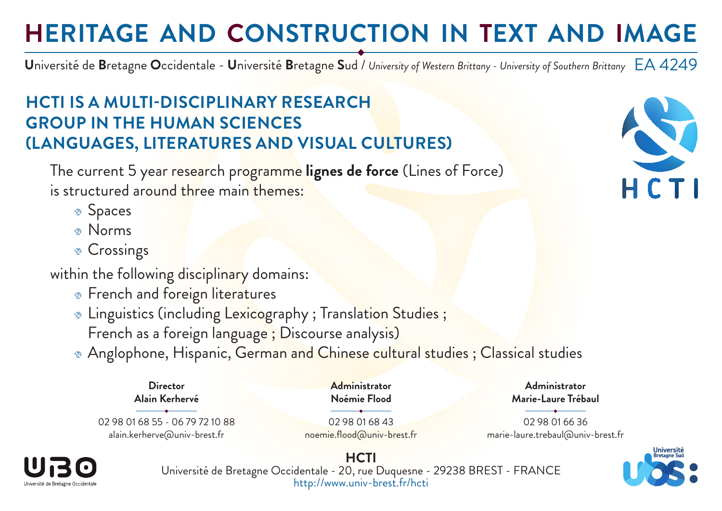# **HERITAGE AND CONSTRUCTION IN TEXT AND IMAGE**

EA 4249 **U**niversité de **B**retagne **O**ccidentale - **U**niversité **B**retagne **S**ud / *University of Western Brittany - University of Southern Brittany*

### **HCTI IS A MULTI-DISCIPLINARY RESEARCH GROUP IN THE HUMAN SCIENCES (LANGUAGES, LITERATURES AND VISUAL CULTURES)**

The current 5 year research programme **lignes de force** (Lines of Force) is structured around three main themes:

- **Spaces**
- Norms
- **Crossings**

within the following disciplinary domains:

- **French and foreign literatures**
- **Linguistics (including Lexicography**; Translation Studies; French as a foreign language ; Discourse analysis)
- **Anglophone, Hispanic, German and Chinese cultural studies ; Classical studies**



02 98 01 68 55 - 06 79 72 10 88 alain.kerherve@univ-brest.fr

02 98 01 68 43 noemie.flood@univ-brest.fr

**Administrator Noémie Flood**

**Marie-Laure Trébaul** 02 98 01 66 36

**Administrator**

marie-laure.trebaul@univ-brest.fr



**HCTI** Université de Bretagne Occidentale - 20, rue Duquesne - 29238 BREST - FRANCE http://www.univ-brest.fr/hcti